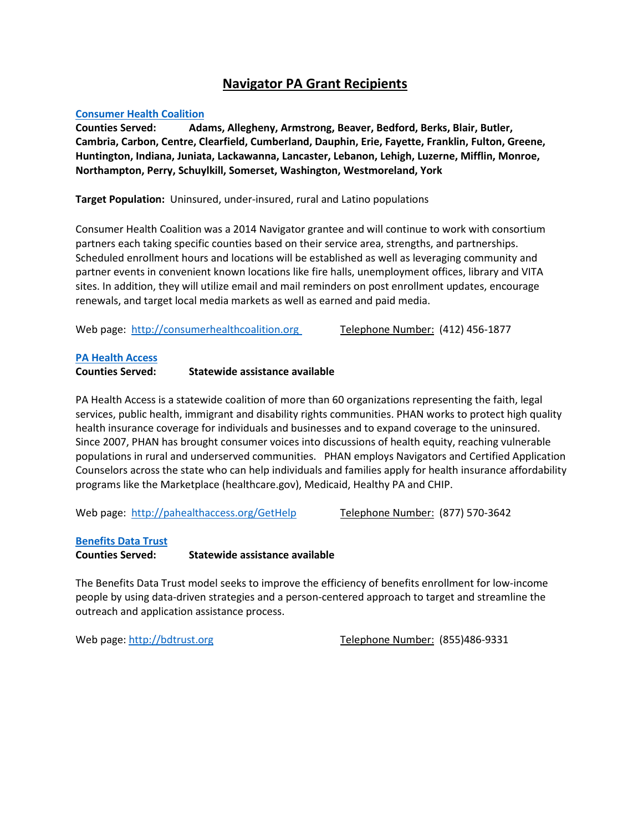# **Navigator PA Grant Recipients**

### **[Consumer Health Coalition](http://consumerhealthcoalition.org/)**

**Counties Served: Adams, Allegheny, Armstrong, Beaver, Bedford, Berks, Blair, Butler, Cambria, Carbon, Centre, Clearfield, Cumberland, Dauphin, Erie, Fayette, Franklin, Fulton, Greene, Huntington, Indiana, Juniata, Lackawanna, Lancaster, Lebanon, Lehigh, Luzerne, Mifflin, Monroe, Northampton, Perry, Schuylkill, Somerset, Washington, Westmoreland, York**

**Target Population:** Uninsured, under-insured, rural and Latino populations

Consumer Health Coalition was a 2014 Navigator grantee and will continue to work with consortium partners each taking specific counties based on their service area, strengths, and partnerships. Scheduled enrollment hours and locations will be established as well as leveraging community and partner events in convenient known locations like fire halls, unemployment offices, library and VITA sites. In addition, they will utilize email and mail reminders on post enrollment updates, encourage renewals, and target local media markets as well as earned and paid media.

Web page: [http://consumerhealthcoalition.org](http://consumerhealthcoalition.org/) Telephone Number: (412) 456-1877

### **[PA Health Access](http://pahealthaccess.org/GetHelp)**

### **Counties Served: Statewide assistance available**

PA Health Access is a statewide coalition of more than 60 organizations representing the faith, legal services, public health, immigrant and disability rights communities. PHAN works to protect high quality health insurance coverage for individuals and businesses and to expand coverage to the uninsured. Since 2007, PHAN has brought consumer voices into discussions of health equity, reaching vulnerable populations in rural and underserved communities. PHAN employs Navigators and Certified Application Counselors across the state who can help individuals and families apply for health insurance affordability programs like the Marketplace (healthcare.gov), Medicaid, Healthy PA and CHIP.

Web page: <http://pahealthaccess.org/GetHelp> Telephone Number: (877) 570-3642

### **[Benefits Data Trust](http://bdtrust.org/)**

**Counties Served: Statewide assistance available**

The Benefits Data Trust model seeks to improve the efficiency of benefits enrollment for low-income people by using data-driven strategies and a person-centered approach to target and streamline the outreach and application assistance process.

Web page[: http://bdtrust.org](http://bdtrust.org/) Telephone Number: (855)486-9331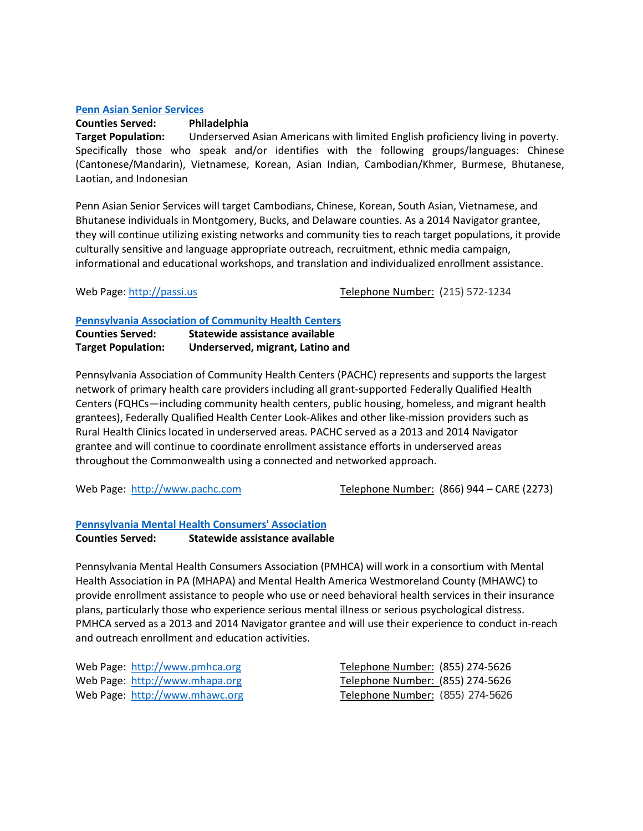### **[Penn Asian Senior Services](http://passi.us/)**

# **Counties Served: Philadelphia**

**Target Population:** Underserved Asian Americans with limited English proficiency living in poverty. Specifically those who speak and/or identifies with the following groups/languages: Chinese (Cantonese/Mandarin), Vietnamese, Korean, Asian Indian, Cambodian/Khmer, Burmese, Bhutanese, Laotian, and Indonesian

Penn Asian Senior Services will target Cambodians, Chinese, Korean, South Asian, Vietnamese, and Bhutanese individuals in Montgomery, Bucks, and Delaware counties. As a 2014 Navigator grantee, they will continue utilizing existing networks and community ties to reach target populations, it provide culturally sensitive and language appropriate outreach, recruitment, ethnic media campaign, informational and educational workshops, and translation and individualized enrollment assistance.

Web Page[: http://passi.us](http://passi.us/) Telephone Number: (215) 572-1234

### **[Pennsylvania Association of Community Health Centers](http://www.pachc.com/)**

| <b>Counties Served:</b>   | Statewide assistance available   |
|---------------------------|----------------------------------|
| <b>Target Population:</b> | Underserved, migrant, Latino and |

Pennsylvania Association of Community Health Centers (PACHC) represents and supports the largest network of primary health care providers including all grant-supported Federally Qualified Health Centers (FQHCs—including community health centers, public housing, homeless, and migrant health grantees), Federally Qualified Health Center Look-Alikes and other like-mission providers such as Rural Health Clinics located in underserved areas. PACHC served as a 2013 and 2014 Navigator grantee and will continue to coordinate enrollment assistance efforts in underserved areas throughout the Commonwealth using a connected and networked approach.

Web Page: [http://www.pachc.com](http://www.pachc.com/) Telephone Number: (866) 944 – CARE (2273)

### **[Pennsylvania Mental Health Consumers' Association](http://www.pmhca.org/)**

**Counties Served: Statewide assistance available**

Pennsylvania Mental Health Consumers Association (PMHCA) will work in a consortium with Mental Health Association in PA (MHAPA) and Mental Health America Westmoreland County (MHAWC) to provide enrollment assistance to people who use or need behavioral health services in their insurance plans, particularly those who experience serious mental illness or serious psychological distress. PMHCA served as a 2013 and 2014 Navigator grantee and will use their experience to conduct in-reach and outreach enrollment and education activities.

| Web Page: http://www.pmhca.org | Telephone Number: (855) 274-5626 |
|--------------------------------|----------------------------------|
| Web Page: http://www.mhapa.org | Telephone Number: (855) 274-5626 |
| Web Page: http://www.mhawc.org | Telephone Number: (855) 274-5626 |